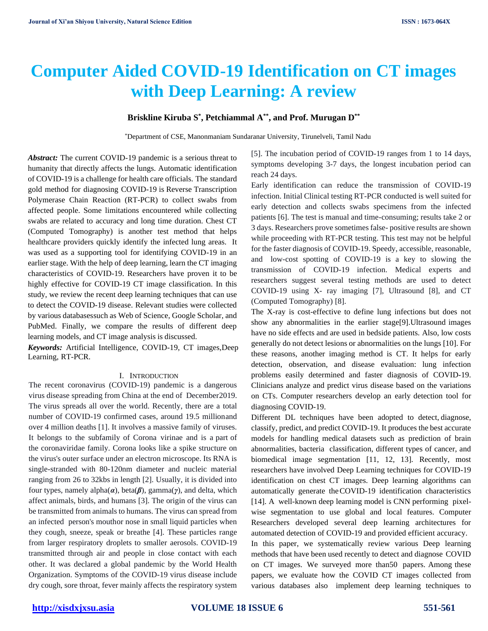# **Computer Aided COVID-19 Identification on CT images with Deep Learning: A review**

# **Briskline Kiruba S\* , Petchiammal A\*\*, and Prof. Murugan D\*\***

\*Department of CSE, Manonmaniam Sundaranar University, Tirunelveli, Tamil Nadu

*Abstract:* The current COVID-19 pandemic is a serious threat to humanity that directly affects the lungs. Automatic identification of COVID-19 is a challenge for health care officials. The standard gold method for diagnosing COVID-19 is Reverse Transcription Polymerase Chain Reaction (RT-PCR) to collect swabs from affected people. Some limitations encountered while collecting swabs are related to accuracy and long time duration. Chest CT (Computed Tomography) is another test method that helps healthcare providers quickly identify the infected lung areas. It was used as a supporting tool for identifying COVID-19 in an earlier stage. With the help of deep learning, learn the CT imaging characteristics of COVID-19. Researchers have proven it to be highly effective for COVID-19 CT image classification. In this study, we review the recent deep learning techniques that can use to detect the COVID-19 disease. Relevant studies were collected by various databasessuch as Web of Science, Google Scholar, and PubMed. Finally, we compare the results of different deep learning models, and CT image analysis is discussed.

*Keywords:* Artificial Intelligence, COVID-19, CT images,Deep Learning, RT-PCR.

### I. INTRODUCTION

The recent coronavirus (COVID-19) pandemic is a dangerous virus disease spreading from China at the end of December2019. The virus spreads all over the world. Recently, there are a total number of COVID-19 confirmed cases, around 19.5 millionand over 4 million deaths [1]. It involves a massive family of viruses. It belongs to the subfamily of Corona virinae and is a part of the coronaviridae family. Corona looks like a spike structure on the virus's outer surface under an electron microscope. Its RNA is single-stranded with 80-120nm diameter and nucleic material ranging from 26 to 32kbs in length [2]. Usually, it is divided into four types, namely alpha(*α*), beta(*β*), gamma(*γ*), and delta, which affect animals, birds, and humans [3]. The origin of the virus can be transmitted from animals to humans. The virus can spread from an infected person's mouthor nose in small liquid particles when they cough, sneeze, speak or breathe [4]. These particles range from larger respiratory droplets to smaller aerosols. COVID-19 transmitted through air and people in close contact with each other. It was declared a global pandemic by the World Health Organization. Symptoms of the COVID-19 virus disease include dry cough, sore throat, fever mainly affects the respiratory system

[5]. The incubation period of COVID-19 ranges from 1 to 14 days, symptoms developing 3-7 days, the longest incubation period can reach 24 days.

Early identification can reduce the transmission of COVID-19 infection. Initial Clinical testing RT-PCR conducted is well suited for early detection and collects swabs specimens from the infected patients [6]. The test is manual and time-consuming; results take 2 or 3 days. Researchers prove sometimes false- positive results are shown while proceeding with RT-PCR testing. This test may not be helpful for the faster diagnosis of COVID-19. Speedy, accessible, reasonable, and low-cost spotting of COVID-19 is a key to slowing the transmission of COVID-19 infection. Medical experts and researchers suggest several testing methods are used to detect COVID-19 using X- ray imaging [7], Ultrasound [8], and CT (Computed Tomography) [8].

The X-ray is cost-effective to define lung infections but does not show any abnormalities in the earlier stage[9].Ultrasound images have no side effects and are used in bedside patients. Also, low costs generally do not detect lesions or abnormalities on the lungs [10]. For these reasons, another imaging method is CT. It helps for early detection, observation, and disease evaluation: lung infection problems easily determined and faster diagnosis of COVID-19. Clinicians analyze and predict virus disease based on the variations on CTs. Computer researchers develop an early detection tool for diagnosing COVID-19.

Different DL techniques have been adopted to detect, diagnose, classify, predict, and predict COVID-19. It produces the best accurate models for handling medical datasets such as prediction of brain abnormalities, bacteria classification, different types of cancer, and biomedical image segmentation [11, 12, 13]. Recently, most researchers have involved Deep Learning techniques for COVID-19 identification on chest CT images. Deep learning algorithms can automatically generate theCOVID-19 identification characteristics [14]. A well-known deep learning model is CNN performing pixelwise segmentation to use global and local features. Computer Researchers developed several deep learning architectures for automated detection of COVID-19 and provided efficient accuracy. In this paper, we systematically review various Deep learning

methods that have been used recently to detect and diagnose COVID on CT images. We surveyed more than50 papers. Among these papers, we evaluate how the COVID CT images collected from various databases also implement deep learning techniques to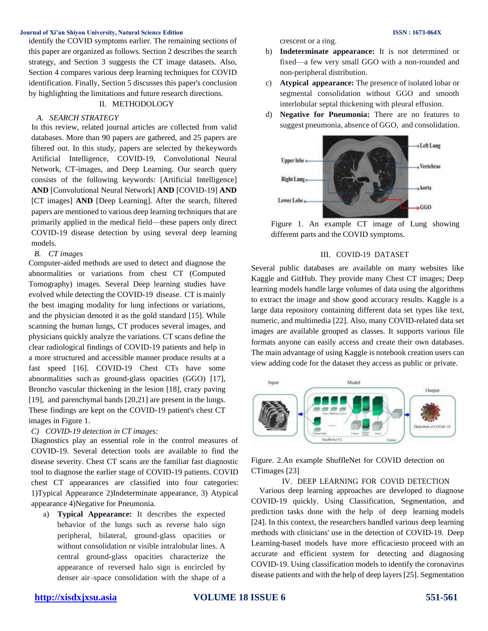identify the COVID symptoms earlier. The remaining sections of this paper are organized as follows. Section 2 describes the search strategy, and Section 3 suggests the CT image datasets. Also, Section 4 compares various deep learning techniques for COVID identification. Finally, Section 5 discusses this paper's conclusion by highlighting the limitations and future research directions.

# II. METHODOLOGY

### *A. SEARCH STRATEGY*

In this review, related journal articles are collected from valid databases. More than 90 papers are gathered, and 25 papers are filtered out. In this study, papers are selected by thekeywords Artificial Intelligence, COVID-19, Convolutional Neural Network, CT-images, and Deep Learning. Our search query consists of the following keywords: [Artificial Intelligence] **AND** [Convolutional Neural Network] **AND** [COVID-19] **AND**  [CT images] **AND** [Deep Learning]. After the search, filtered papers are mentioned to various deep learning techniques that are primarily applied in the medical field—these papers only direct COVID-19 disease detection by using several deep learning models.

### *B. CT images*

Computer-aided methods are used to detect and diagnose the abnormalities or variations from chest CT (Computed Tomography) images. Several Deep learning studies have evolved while detecting the COVID-19 disease. CT is mainly the best imaging modality for lung infections or variations, and the physician denoted it as the gold standard [15]. While scanning the human lungs, CT produces several images, and physicians quickly analyze the variations. CT scans define the clear radiological findings of COVID-19 patients and help in a more structured and accessible manner produce results at a fast speed [16]. COVID-19 Chest CTs have some abnormalities such as ground-glass opacities (GGO) [17], Broncho vascular thickening in the lesion [18], crazy paving [19], and parenchymal bands [20,21] are present in the lungs. These findings are kept on the COVID-19 patient's chest CT images in Figure 1.

# *C) COVID-19 detection in CT images:*

Diagnostics play an essential role in the control measures of COVID-19. Several detection tools are available to find the disease severity. Chest CT scans are the familiar fast diagnostic tool to diagnose the earlier stage of COVID-19 patients. COVID chest CT appearances are classified into four categories: 1)Typical Appearance 2)Indeterminate appearance, 3) Atypical appearance 4)Negative for Pneumonia.

a) **Typical Appearance:** It describes the expected behavior of the lungs such as reverse halo sign peripheral, bilateral, ground-glass opacities or without consolidation or visible intralobular lines. A central ground-glass opacities characterize the appearance of reversed halo sign is encircled by denser air–space consolidation with the shape of a crescent or a ring.

- b) **Indeterminate appearance:** It is not determined or fixed—a few very small GGO with a non-rounded and non-peripheral distribution.
- c) **Atypical appearance:** The presence of isolated lobar or segmental consolidation without GGO and smooth interlobular septal thickening with pleural effusion.
- d) **Negative for Pneumonia:** There are no features to suggest pneumonia, absence of GGO, and consolidation.



Figure 1. An example CT image of Lung showing different parts and the COVID symptoms.

# III. COVID-19 DATASET

Several public databases are available on many websites like Kaggle and GitHub. They provide many Chest CT images; Deep learning models handle large volumes of data using the algorithms to extract the image and show good accuracy results. Kaggle is a large data repository containing different data set types like text, numeric, and multimedia [22]. Also, many COVID-related data set images are available grouped as classes. It supports various file formats anyone can easily access and create their own databases. The main advantage of using Kaggle is notebook creation users can view adding code for the dataset they access as public or private.



Figure. 2.An example ShuffleNet for COVID detection on CTimages [23]

# IV. DEEP LEARNING FOR COVID DETECTION

Various deep learning approaches are developed to diagnose COVID-19 quickly. Using Classification, Segmentation, and prediction tasks done with the help of deep learning models [24]. In this context, the researchers handled various deep learning methods with clinicians' use in the detection of COVID-19. Deep Learning-based models have more efficaciesto proceed with an accurate and efficient system for detecting and diagnosing COVID-19. Using classification models to identify the coronavirus disease patients and with the help of deep layers [25]. Segmentation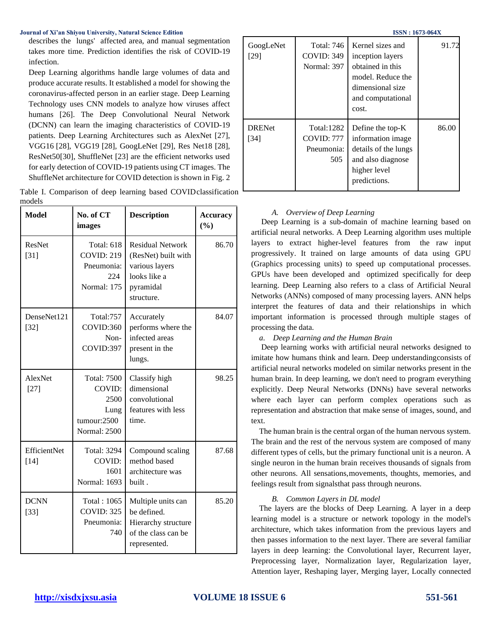describes the lungs' affected area, and manual segmentation takes more time. Prediction identifies the risk of COVID-19 infection.

Deep Learning algorithms handle large volumes of data and produce accurate results. It established a model for showing the coronavirus-affected person in an earlier stage. Deep Learning Technology uses CNN models to analyze how viruses affect humans [26]. The Deep Convolutional Neural Network (DCNN) can learn the imaging characteristics of COVID-19 patients. Deep Learning Architectures such as AlexNet [27], VGG16 [28], VGG19 [28], GoogLeNet [29], Res Net18 [28], ResNet50[30], ShuffleNet [23] are the efficient networks used for early detection of COVID-19 patients using CT images. The ShuffleNet architecture for COVID detection is shown in Fig. 2

|        |  |  | Table I. Comparison of deep learning based COVID classification |
|--------|--|--|-----------------------------------------------------------------|
| models |  |  |                                                                 |

| <b>Model</b>            | No. of CT<br>images                                                                | <b>Description</b>                                                                                          | <b>Accuracy</b><br>(%) |
|-------------------------|------------------------------------------------------------------------------------|-------------------------------------------------------------------------------------------------------------|------------------------|
| <b>ResNet</b><br>$[31]$ | <b>Total: 618</b><br><b>COVID: 219</b><br>Pneumonia:<br>224<br>Normal: 175         | <b>Residual Network</b><br>(ResNet) built with<br>various layers<br>looks like a<br>pyramidal<br>structure. | 86.70                  |
| DenseNet121<br>$[32]$   | <b>Total:757</b><br>COVID:360<br>Non-<br>COVID:397                                 | Accurately<br>performs where the<br>infected areas<br>present in the<br>lungs.                              | 84.07                  |
| AlexNet<br>$[27]$       | <b>Total: 7500</b><br>COVID:<br>2500<br>Lung<br>tumour:2500<br><b>Normal: 2500</b> | Classify high<br>dimensional<br>convolutional<br>features with less<br>time.                                | 98.25                  |
| EfficientNet<br>$[14]$  | <b>Total: 3294</b><br>COVID:<br>1601<br>Normal: 1693                               | Compound scaling<br>method based<br>architecture was<br>built.                                              | 87.68                  |
| <b>DCNN</b><br>$[33]$   | Total: 1065<br><b>COVID: 325</b><br>Pneumonia:<br>740                              | Multiple units can<br>be defined.<br>Hierarchy structure<br>of the class can be<br>represented.             | 85.20                  |

GoogLeNet [29] Total: 746 COVID: 349 Normal: 397 Kernel sizes and inception layers obtained in this model. Reduce the dimensional size and computational cost. 91.72 DRENet [34] Total:1282 COVID: 777 Pneumonia: 505 Define the top-K information image details of the lungs and also diagnose higher level predictions. 86.00

# *A. Overview of Deep Learning*

Deep Learning is a sub-domain of machine learning based on artificial neural networks. A Deep Learning algorithm uses multiple layers to extract higher-level features from the raw input progressively. It trained on large amounts of data using GPU (Graphics processing units) to speed up computational processes. GPUs have been developed and optimized specifically for deep learning. Deep Learning also refers to a class of Artificial Neural Networks (ANNs) composed of many processing layers. [ANN h](https://www.analyticssteps.com/blogs/introduction-neural-networks-and-deep-learning)elps interpret the features of data and their relationships in which important information is processed through multiple stages of processing the data.

# *a. Deep Learning and the Human Brain*

Deep learning works with artificial neural networks designed to imitate how humans think and learn. Deep understandingconsists of artificial neural networks modeled on similar networks present in the human brain. In deep learning, we don't need to program everything explicitly. Deep Neural Networks (DNNs) have several networks where each layer can perform complex operations such as representation and abstraction that make sense of images, sound, and text.

The human brain is the central organ of the human nervous system. The brain and the rest of the nervous system are composed of many different types of cells, but the primary functional unit is a neuron. A single neuron in the human brain receives thousands of signals from other neurons. All sensations,movements, thoughts, memories, and feelings result from signalsthat pass through neurons.

### *B. Common Layers in DL model*

The layers are the blocks of Deep Learning. A layer in a deep learning model is a structure or [network topology i](https://en.wikipedia.org/wiki/Network_topology)n the model's architecture, which takes information from the previous layers and then passes information to the next layer. There are several familiar layers in deep learning: the Convolutional layer, Recurrent layer, Preprocessing layer, Normalization layer, Regularization layer, Attention layer, Reshaping layer, Merging layer, Locally connected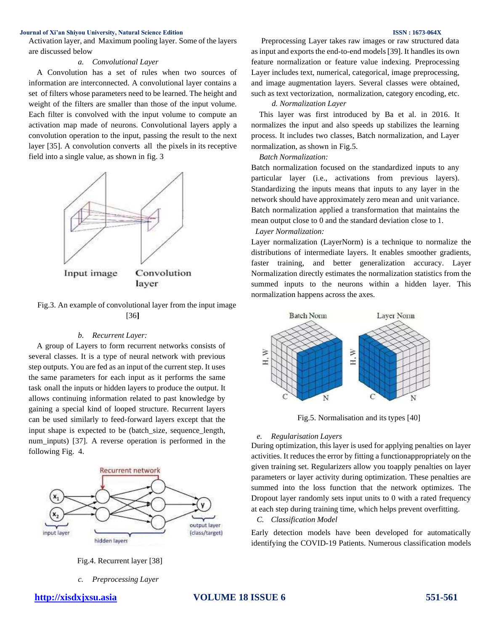Activation layer, and Maximum pooling layer. Some of the layers are discussed below

# *a. Convolutional Layer*

A Convolution has a set of rules when two sources of information are interconnected. A convolutional layer contains a set of filters whose parameters need to be learned. The height and weight of the filters are smaller than those of the input volume. Each filter is convolved with the input volume to compute an activation map made of neurons. Convolutional layers apply a convolution operation to the input, passing the result to the next layer [35]. A convolution converts all the pixels in its receptive field into a single value, as shown in fig. 3





### *b. Recurrent Layer:*

A group of Layers to form recurrent networks consists of several classes. It is a type of neural network with previous step outputs. You are fed as an input of the current step. It uses the same parameters for each input as it performs the same task onall the inputs or hidden layers to produce the output. It allows continuing information related to past knowledge by gaining a special kind of looped structure. Recurrent layers can be used similarly to feed-forward layers except that the input shape is expected to be (batch\_size, sequence\_length, num\_inputs) [37]. A reverse operation is performed in the following Fig. 4.



Fig.4. Recurrent layer [38]

*c. Preprocessing Layer*

Preprocessing Layer takes raw images or raw structured data as input and exports the end-to-end models [39]. It handles its own feature normalization or feature value indexing. Preprocessing Layer includes text, numerical, categorical, image preprocessing,

# *d. Normalization Layer*

This layer was first introduced by Ba et al. in 2016. It normalizes the input and also speeds up stabilizes the learning process. It includes two classes, Batch normalization, and Layer normalization, as shown in Fig.5.

# *Batch Normalization:*

Batch normalization focused on the standardized inputs to any particular layer (i.e., activations from previous layers). Standardizing the inputs means that inputs to any layer in the network should have approximately zero mean and unit variance. Batch normalization applied a transformation that maintains the mean output close to 0 and the standard deviation close to 1.

# *Layer Normalization:*

Layer normalization (LayerNorm) is a technique to normalize the distributions of intermediate layers. It enables smoother gradients, faster training, and better generalization accuracy. Layer Normalization directly estimates the normalization statistics from the summed inputs to the neurons within a hidden layer. This normalization happens across the axes.



Fig.5. Normalisation and its types [40]

### *e. Regularisation Layers*

During optimization, this layer is used for applying penalties on layer activities. It reduces the error by fitting a functionappropriately on the given training set. Regularizers allow you toapply penalties on layer parameters or layer activity during optimization. These penalties are summed into the loss function that the network optimizes. The Dropout layer randomly sets input units to 0 with a rated frequency at each step during training time, which helps prevent overfitting.

### *C. Classification Model*

Early detection models have been developed for automatically identifying the COVID-19 Patients. Numerous classification models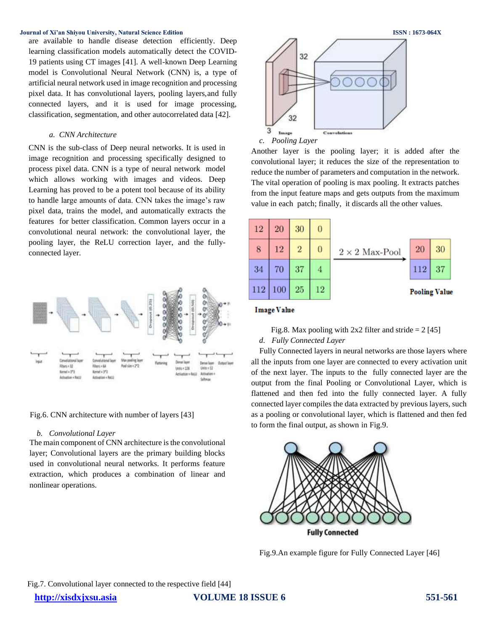are available to handle disease detection efficiently. Deep learning classification models automatically detect the COVID-19 patients using CT images [41]. A well-known Deep Learning model is Convolutional Neural Network (CNN) is, a type of artificial neural network used in image recognition and processing pixel data. It has convolutional layers, pooling layers,and fully connected layers, and it is used for image processing, classification, segmentation, and other autocorrelated data [42].

# *a. CNN Architecture*

CNN is the sub-class of Deep neural networks. It is used in image recognition and processing specifically designed to process pixel data. CNN is a type of neural network model which allows working with images and videos. Deep Learning has proved to be a potent tool because of its ability to handle large amounts of data. CNN takes the image's raw pixel data, trains the model, and automatically extracts the features for better classification. Common layers occur in a convolutional neural network: the convolutional layer, the pooling layer, the ReLU correction layer, and the fullyconnected layer.



### Fig.6. CNN architecture with number of layers [43]

### *b. Convolutional Layer*

The main component of CNN architecture is the convolutional layer; Convolutional layers are the primary building blocks used in convolutional neural networks. It performs feature extraction, which produces a combination of linear and nonlinear operations.



Another layer is the pooling layer; it is added after the convolutional layer; it reduces the size of the representation to reduce the number of parameters and computation in the network. The vital operation of pooling is max pooling. It extracts patches from the input feature maps and gets outputs from the maximum value in each patch; finally, it discards all the other values.



### **Image Value**

Fig.8. Max pooling with  $2x2$  filter and stride = 2 [45] *d. Fully Connected Layer*

Fully Connected layers in neural networks are those layers where all the inputs from one layer are connected to every activation unit of the next layer. The inputs to the fully connected layer are the output from the final Pooling or Convolutional Layer, which is flattened and then fed into the fully connected layer. A fully connected layer compiles the data extracted by previous layers, such as a pooling or convolutional layer, which is flattened and then fed to form the final output, as shown in Fig.9.



Fig.9.An example figure for Fully Connected Layer [46]

Fig.7. Convolutional layer connected to the respective field [44]

**[http://xisdxjxsu.asia](http://xisdxjxsu.asia/) VOLUME 18 ISSUE 6 551-561**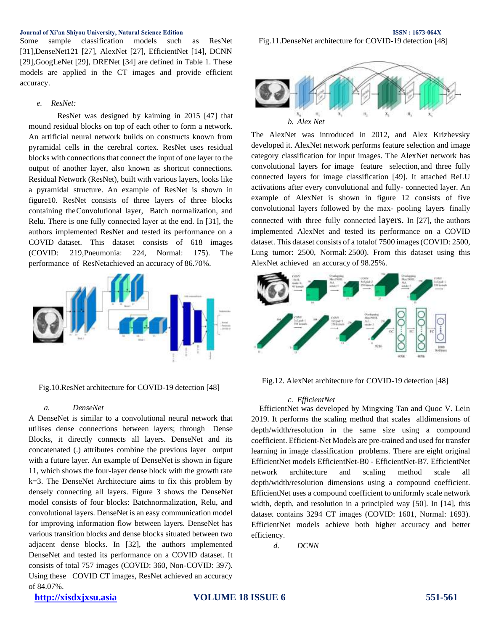Some sample classification models such as ResNet [31],DenseNet121 [27], AlexNet [27], EfficientNet [14], DCNN [29],GoogLeNet [29], DRENet [34] are defined in Table 1. These models are applied in the CT images and provide efficient accuracy.

### *e. ResNet:*

ResNet was designed by kaiming in 2015 [47] that mound residual blocks on top of each other to form a network. An artificial neural network builds on constructs known from pyramidal cells in the cerebral cortex. ResNet uses residual blocks with connections that connect the input of one layer to the output of another layer, also known as shortcut connections. Residual Network (ResNet), built with various layers, looks like a pyramidal structure. An example of ResNet is shown in figure10. ResNet consists of three layers of three blocks containing theConvolutional layer, Batch normalization, and Relu. There is one fully connected layer at the end. In [31], the authors implemented ResNet and tested its performance on a COVID dataset. This dataset consists of 618 images (COVID: 219,Pneumonia: 224, Normal: 175). The performance of ResNetachieved an accuracy of 86.70%.



Fig.10.ResNet architecture for COVID-19 detection [48]

# *a. DenseNet*

A DenseNet is similar to a convolutional neural network that utilises dense connections between layers; through Dense Blocks, it directly connects all layers. DenseNet and its concatenated (.) attributes combine the previous layer output with a future layer. An example of DenseNet is shown in figure 11, which shows the four-layer dense block with the growth rate k=3. The DenseNet Architecture aims to fix this problem by densely connecting all layers. Figure 3 shows the DenseNet model consists of four blocks: Batchnormalization, Relu, and convolutional layers. DenseNet is an easy communication model for improving information flow between layers. DenseNet has various transition blocks and dense blocks situated between two adjacent dense blocks. In [32], the authors implemented DenseNet and tested its performance on a COVID dataset. It consists of total 757 images (COVID: 360, Non-COVID: 397). Using these COVID CT images, ResNet achieved an accuracy of 84.07%.

**Journal of Xi'an Shiyou University, Natural Science Edition ISSN : 1673-064X** Fig.11.DenseNet architecture for COVID-19 detection [48]



The AlexNet was introduced in 2012, and Alex Krizhevsky developed it. AlexNet network performs feature selection and image category classification for input images. The AlexNet network has convolutional layers for image feature selection,and three fully connected layers for image classification [49]. It attached ReLU activations after every convolutional and fully- connected layer. An example of AlexNet is shown in figure 12 consists of five convolutional layers followed by the max- pooling layers finally connected with three fully connected layers. In [27], the authors implemented AlexNet and tested its performance on a COVID dataset. This dataset consists of a totalof 7500 images(COVID: 2500, Lung tumor: 2500, Normal: 2500). From this dataset using this AlexNet achieved an accuracy of 98.25%.



Fig.12. AlexNet architecture for COVID-19 detection [48]

### *c. EfficientNet*

EfficientNet was developed by Mingxing Tan and Quoc V. Lein 2019. It performs the scaling method that scales alldimensions of depth/width/resolution in the same size using a compound coefficient. Efficient-Net Models are pre-trained and used for transfer learning in image classification problems. There are eight original EfficientNet models EfficientNet-B0 - EfficientNet-B7. EfficientNet network architecture and scaling method scale all depth/width/resolution dimensions using a compound coefficient. EfficientNet uses a compound coefficient to uniformly scale network width, depth, and resolution in a principled way [50]. In [14], this dataset contains 3294 CT images (COVID: 1601, Normal: 1693). EfficientNet models achieve both higher accuracy and better efficiency.

*d. DCNN*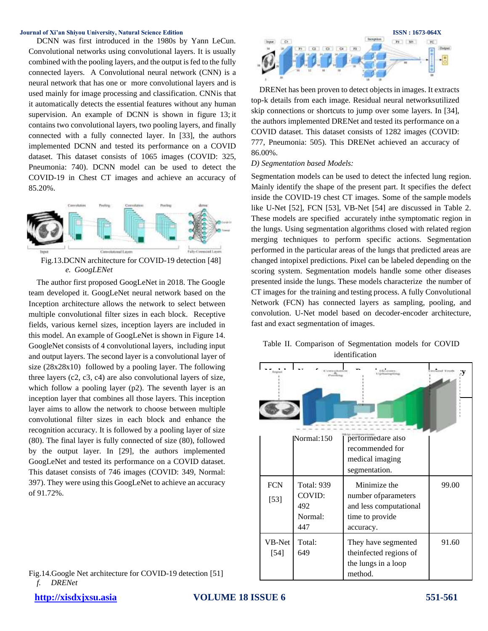DCNN was first introduced in the 1980s by Yann LeCun. Convolutional networks using convolutional layers. It is usually combined with the pooling layers, and the output is fed to the fully connected layers. A Convolutional neural network (CNN) is a neural network that has one or more convolutional layers and is used mainly for image processing and classification. CNNis that it automatically detects the essential features without any human supervision. An example of DCNN is shown in figure 13; it contains two convolutional layers, two pooling layers, and finally connected with a fully connected layer. In [33], the authors implemented DCNN and tested its performance on a COVID dataset. This dataset consists of 1065 images (COVID: 325, Pneumonia: 740). DCNN model can be used to detect the COVID-19 in Chest CT images and achieve an accuracy of 85.20%.



*e. GoogLENet*

The author first proposed GoogLeNet in 2018. The Google team developed it. GoogLeNet neural network based on the Inception architecture allows the network to select between multiple convolutional filter sizes in each block. Receptive fields, various kernel sizes, inception layers are included in this model. An example of GoogLeNet is shown in Figure 14. GoogleNet consists of 4 convolutional layers, including input and output layers. The second layer is a convolutional layer of size (28x28x10) followed by a pooling layer. The following three layers (c2, c3, c4) are also convolutional layers of size, which follow a pooling layer (p2). The seventh layer is an inception layer that combines all those layers. This inception layer aims to allow the network to choose between multiple convolutional filter sizes in each block and enhance the recognition accuracy. It is followed by a pooling layer of size (80). The final layer is fully connected of size (80), followed by the output layer. In [29], the authors implemented GoogLeNet and tested its performance on a COVID dataset. This dataset consists of 746 images (COVID: 349, Normal: 397). They were using this GoogLeNet to achieve an accuracy of 91.72%.

Fig.14.Google Net architecture for COVID-19 detection [51] *f. DRENet*



DRENet has been proven to detect objects in images. It extracts top-k details from each image. Residual neural networksutilized skip connections or shortcuts to jump over some layers. In [34], the authors implemented DRENet and tested its performance on a COVID dataset. This dataset consists of 1282 images (COVID: 777, Pneumonia: 505). This DRENet achieved an accuracy of 86.00%.

### *D) Segmentation based Models:*

Segmentation models can be used to detect the infected lung region. Mainly identify the shape of the present part. It specifies the defect inside the COVID-19 chest CT images. Some of the sample models like U-Net [52], FCN [53], VB-Net [54] are discussed in Table 2. These models are specified accurately inthe symptomatic region in the lungs. Using segmentation algorithms closed with related region merging techniques to perform specific actions. Segmentation performed in the particular areas of the lungs that predicted areas are changed intopixel predictions. Pixel can be labeled depending on the scoring system. Segmentation models handle some other diseases presented inside the lungs. These models characterize the number of CT images for the training and testing process. A fully Convolutional Network (FCN) has connected layers as sampling, pooling, and convolution. U-Net model based on decoder-encoder architecture, fast and exact segmentation of images.

|                |  |  |  | Table II. Comparison of Segmentation models for COVID |  |  |  |
|----------------|--|--|--|-------------------------------------------------------|--|--|--|
| identification |  |  |  |                                                       |  |  |  |

| innand Touth<br>arrept-Edga<br>$1000 + 0.000$ |                                                      |                                                                                                |       |  |  |
|-----------------------------------------------|------------------------------------------------------|------------------------------------------------------------------------------------------------|-------|--|--|
|                                               | Normal:150                                           | performedare also<br>recommended for<br>medical imaging<br>segmentation.                       |       |  |  |
| <b>FCN</b><br>$[53]$                          | <b>Total: 939</b><br>COVID:<br>492<br>Normal:<br>447 | Minimize the<br>number of parameters<br>and less computational<br>time to provide<br>accuracy. | 99.00 |  |  |
| VB-Net<br>$[54]$                              | Total:<br>649                                        | They have segmented<br>the infected regions of<br>the lungs in a loop<br>method.               | 91.60 |  |  |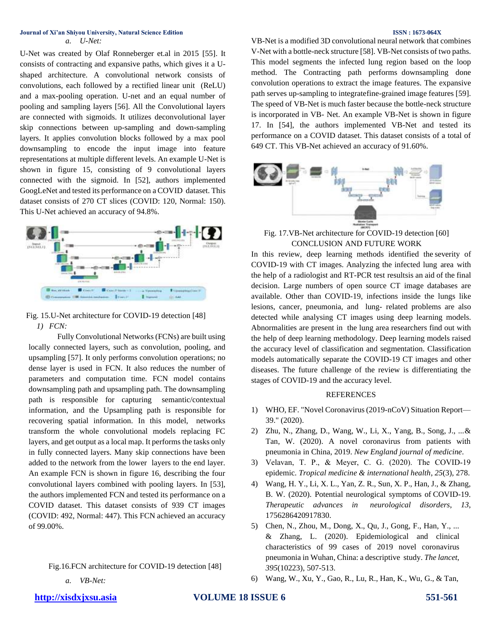U-Net was created by Olaf Ronneberger et.al in 2015 [55]. It consists of contracting and expansive paths, which gives it a Ushaped architecture. A convolutional network consists of [convolutions,](https://en.wikipedia.org/wiki/Convolutions) each followed by a [rectified linear unit](https://en.wikipedia.org/wiki/Rectified_linear_unit) (ReLU) and a [max-pooling](https://en.wikipedia.org/wiki/Max_pooling) operation. U-net and an equal number of pooling and sampling layers [56]. All the Convolutional layers are connected with sigmoids. It utilizes deconvolutional layer skip connections between up-sampling and down-sampling layers. It applies convolution blocks followed by a max pool downsampling to encode the input image into feature representations at multiple different levels. An example U-Net is shown in figure 15, consisting of 9 convolutional layers connected with the sigmoid. In [52], authors implemented GoogLeNet and tested its performance on a COVID dataset. This dataset consists of 270 CT slices (COVID: 120, Normal: 150). This U-Net achieved an accuracy of 94.8%.



Fig. 15.U-Net architecture for COVID-19 detection [48] *1) FCN:*

Fully Convolutional Networks (FCNs) are built using locally connected layers, such as convolution, pooling, and upsampling [57]. It only performs convolution operations; no dense layer is used in FCN. It also reduces the number of parameters and computation time. FCN model contains downsampling path and upsampling path. The downsampling path is responsible for capturing semantic/contextual information, and the Upsampling path is responsible for recovering spatial information. In this model, networks transform the whole convolutional models replacing FC layers, and get output as a local map. It performs the tasks only in fully connected layers. Many skip connections have been added to the network from the lower layers to the end layer. An example FCN is shown in figure 16, describing the four convolutional layers combined with pooling layers. In [53], the authors implemented FCN and tested its performance on a COVID dataset. This dataset consists of 939 CT images (COVID: 492, Normal: 447). This FCN achieved an accuracy of 99.00%.

Fig.16.FCN architecture for COVID-19 detection [48]

*a. VB-Net:*

VB-Net is a modified 3D convolutional neural network that combines V-Net with a bottle-neck structure [58]. VB-Net consists of two paths. This model segments the infected lung region based on the loop method. The Contracting path performs downsampling done convolution operations to extract the image features. The expansive path serves up-sampling to integratefine-grained image features [59]. The speed of VB-Net is much faster because the bottle-neck structure is incorporated in VB- Net. An example VB-Net is shown in figure 17. In [54], the authors implemented VB-Net and tested its performance on a COVID dataset. This dataset consists of a total of 649 CT. This VB-Net achieved an accuracy of 91.60%.



Fig. 17.VB-Net architecture for COVID-19 detection [60] CONCLUSION AND FUTURE WORK

In this review, deep learning methods identified the severity of COVID-19 with CT images. Analyzing the infected lung area with the help of a radiologist and RT-PCR test resultsis an aid of the final decision. Large numbers of open source CT image databases are available. Other than COVID-19, infections inside the lungs like lesions, cancer, pneumonia, and lung- related problems are also detected while analysing CT images using deep learning models. Abnormalities are present in the lung area researchers find out with the help of deep learning methodology. Deep learning models raised the accuracy level of classification and segmentation. Classification models automatically separate the COVID-19 CT images and other diseases. The future challenge of the review is differentiating the stages of COVID-19 and the accuracy level.

# REFERENCES

- 1) WHO, EF. "Novel Coronavirus (2019-nCoV) Situation Report— 39." (2020).
- 2) Zhu, N., Zhang, D., Wang, W., Li, X., Yang, B., Song, J., ...& Tan, W. (2020). A novel coronavirus from patients with pneumonia in China, 2019. *New England journal of medicine*.
- 3) Velavan, T. P., & Meyer, C. G. (2020). The COVID‐19 epidemic. *Tropical medicine & international health*, *25*(3), 278.
- 4) Wang, H. Y., Li, X. L., Yan, Z. R., Sun, X. P., Han, J., & Zhang, B. W. (2020). Potential neurological symptoms of COVID-19. *Therapeutic advances in neurological disorders*, *13*, 1756286420917830.
- 5) Chen, N., Zhou, M., Dong, X., Qu, J., Gong, F., Han, Y., ... & Zhang, L. (2020). Epidemiological and clinical characteristics of 99 cases of 2019 novel coronavirus pneumonia in Wuhan, China: a descriptive study. *The lancet*, *395*(10223), 507-513.
- 6) Wang, W., Xu, Y., Gao, R., Lu, R., Han, K., Wu, G., & Tan,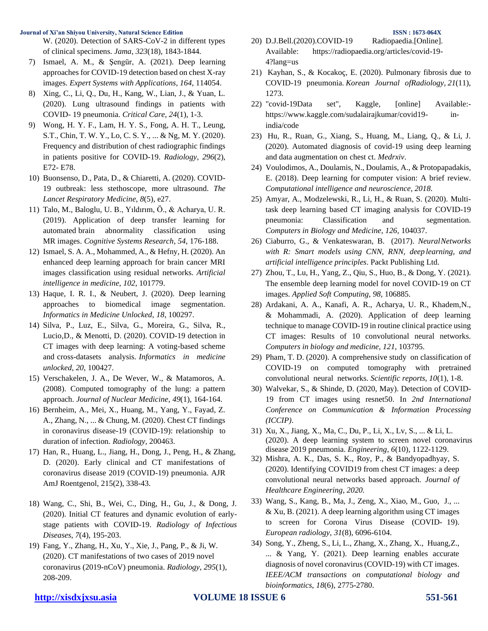W. (2020). Detection of SARS-CoV-2 in different types of clinical specimens. *Jama*, *323*(18), 1843-1844.

- 7) Ismael, A. M., & Şengür, A. (2021). Deep learning approaches for COVID-19 detection based on chest X-ray images. *Expert Systems with Applications*, *164*, 114054.
- 8) Xing, C., Li, Q., Du, H., Kang, W., Lian, J., & Yuan, L. (2020). Lung ultrasound findings in patients with COVID- 19 pneumonia. *Critical Care*, *24*(1), 1-3.
- 9) Wong, H. Y. F., Lam, H. Y. S., Fong, A. H. T., Leung, S.T., Chin, T. W. Y., Lo, C. S. Y., ... & Ng, M. Y. (2020). Frequency and distribution of chest radiographic findings in patients positive for COVID-19. *Radiology*, *296*(2), E72- E78.
- 10) Buonsenso, D., Pata, D., & Chiaretti, A. (2020). COVID-19 outbreak: less stethoscope, more ultrasound. *The Lancet Respiratory Medicine*, *8*(5), e27.
- 11) Talo, M., Baloglu, U. B., Yıldırım, Ö., & Acharya, U. R. (2019). Application of deep transfer learning for automated brain abnormality classification using MR images. *Cognitive Systems Research*, *54*, 176-188.
- 12) Ismael, S. A. A., Mohammed, A., & Hefny, H. (2020). An enhanced deep learning approach for brain cancer MRI images classification using residual networks. *Artificial intelligence in medicine*, *102*, 101779.
- 13) Haque, I. R. I., & Neubert, J. (2020). Deep learning approaches to biomedical image segmentation. *Informatics in Medicine Unlocked*, *18*, 100297.
- 14) Silva, P., Luz, E., Silva, G., Moreira, G., Silva, R., Lucio,D., & Menotti, D. (2020). COVID-19 detection in CT images with deep learning: A voting-based scheme and cross-datasets analysis. *Informatics in medicine unlocked*, *20*, 100427.
- 15) Verschakelen, J. A., De Wever, W., & Matamoros, A. (2008). Computed tomography of the lung: a pattern approach. *Journal of Nuclear Medicine*, *49*(1), 164-164.
- 16) Bernheim, A., Mei, X., Huang, M., Yang, Y., Fayad, Z. A., Zhang, N., ... & Chung, M. (2020). Chest CT findings in coronavirus disease-19 (COVID-19): relationship to duration of infection. *Radiology*, 200463.
- 17) Han, R., Huang, L., Jiang, H., Dong, J., Peng, H., & Zhang, D. (2020). Early clinical and CT manifestations of coronavirus disease 2019 (COVID-19) pneumonia. AJR AmJ Roentgenol, 215(2), 338-43.
- 18) Wang, C., Shi, B., Wei, C., Ding, H., Gu, J., & Dong, J. (2020). Initial CT features and dynamic evolution of earlystage patients with COVID-19. *Radiology of Infectious Diseases*, *7*(4), 195-203.
- 19) Fang, Y., Zhang, H., Xu, Y., Xie, J., Pang, P., & Ji, W. (2020). CT manifestations of two cases of 2019 novel coronavirus (2019-nCoV) pneumonia. *Radiology*, *295*(1), 208-209.
- 21) Kayhan, S., & Kocakoç, E. (2020). Pulmonary fibrosis due to COVID-19 pneumonia. *Korean Journal ofRadiology*, *21*(11), 1273.
- 22) "covid-19Data set", Kaggle, [online] Available: [https://www.kaggle.com/sudalairajkumar/covid19-](https://www.kaggle.com/sudalairajkumar/covid19-%20%20%20in-india/code) in[india/code](https://www.kaggle.com/sudalairajkumar/covid19-%20%20%20in-india/code)
- 23) Hu, R., Ruan, G., Xiang, S., Huang, M., Liang, Q., & Li, J. (2020). Automated diagnosis of covid-19 using deep learning and data augmentation on chest ct. *Medrxiv*.
- 24) Voulodimos, A., Doulamis, N., Doulamis, A., & Protopapadakis, E. (2018). Deep learning for computer vision: A brief review. *Computational intelligence and neuroscience*, *2018*.
- 25) Amyar, A., Modzelewski, R., Li, H., & Ruan, S. (2020). Multitask deep learning based CT imaging analysis for COVID-19 pneumonia: Classification and segmentation. *Computers in Biology and Medicine*, *126*, 104037.
- 26) Ciaburro, G., & Venkateswaran, B. (2017). *NeuralNetworks with R: Smart models using CNN, RNN, deep learning, and artificial intelligence principles*. Packt Publishing Ltd.
- 27) Zhou, T., Lu, H., Yang, Z., Qiu, S., Huo, B., & Dong, Y. (2021). The ensemble deep learning model for novel COVID-19 on CT images. *Applied Soft Computing*, *98*, 106885.
- 28) Ardakani, A. A., Kanafi, A. R., Acharya, U. R., Khadem,N., & Mohammadi, A. (2020). Application of deep learning technique to manage COVID-19 in routine clinical practice using CT images: Results of 10 convolutional neural networks. *Computers in biology and medicine*, *121*, 103795.
- 29) Pham, T. D. (2020). A comprehensive study on classification of COVID-19 on computed tomography with pretrained convolutional neural networks. *Scientific reports*, *10*(1), 1-8.
- 30) Walvekar, S., & Shinde, D. (2020, May). Detection of COVID-19 from CT images using resnet50. In *2nd International Conference on Communication & Information Processing (ICCIP)*.
- 31) Xu, X., Jiang, X., Ma, C., Du, P., Li, X., Lv, S., ... & Li, L. (2020). A deep learning system to screen novel coronavirus disease 2019 pneumonia. *Engineering*, *6*(10), 1122-1129.
- 32) Mishra, A. K., Das, S. K., Roy, P., & Bandyopadhyay, S. (2020). Identifying COVID19 from chest CT images: a deep convolutional neural networks based approach. *Journal of Healthcare Engineering*, *2020*.
- 33) Wang, S., Kang, B., Ma, J., Zeng, X., Xiao, M., Guo, J., ... & Xu, B. (2021). A deep learning algorithm using CT images to screen for Corona Virus Disease (COVID- 19). *European radiology*, *31*(8), 6096-6104.
- 34) Song, Y., Zheng, S., Li, L., Zhang, X., Zhang, X., Huang,Z., ... & Yang, Y. (2021). Deep learning enables accurate diagnosis of novel coronavirus (COVID-19) with CT images. *IEEE/ACM transactions on computational biology and bioinformatics*, *18*(6), 2775-2780.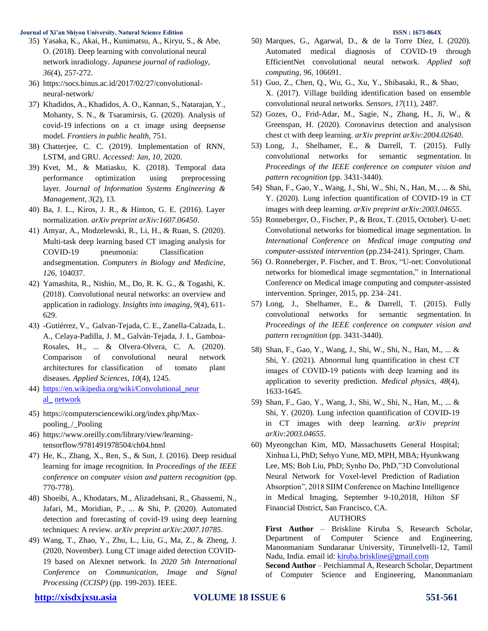- 35) Yasaka, K., Akai, H., Kunimatsu, A., Kiryu, S., & Abe, O. (2018). Deep learning with convolutional neural network inradiology. *Japanese journal of radiology*, *36*(4), 257-272.
- 36) [https://socs.binus.ac.id/2017/02/27/convolutional](https://socs.binus.ac.id/2017/02/27/convolutional-neural-network/)[neural-network/](https://socs.binus.ac.id/2017/02/27/convolutional-neural-network/)
- 37) Khadidos, A., Khadidos, A. O., Kannan, S., Natarajan, Y., Mohanty, S. N., & Tsaramirsis, G. (2020). Analysis of covid-19 infections on a ct image using deepsense model. *Frontiers in public health*, 751.
- 38) Chatterjee, C. C. (2019). Implementation of RNN, LSTM, and GRU. *Accessed: Jan*, *10*, 2020.
- 39) Kvet, M., & Matiasko, K. (2018). Temporal data performance optimization using preprocessing layer. *Journal of Information Systems Engineering & Management*, *3*(2), 13.
- 40) Ba, J. L., Kiros, J. R., & Hinton, G. E. (2016). Layer normalization. *arXiv preprint arXiv:1607.06450*.
- 41) Amyar, A., Modzelewski, R., Li, H., & Ruan, S. (2020). Multi-task deep learning based CT imaging analysis for COVID-19 pneumonia: Classification andsegmentation. *Computers in Biology and Medicine*, *126*, 104037.
- 42) Yamashita, R., Nishio, M., Do, R. K. G., & Togashi, K. (2018). Convolutional neural networks: an overview and application in radiology. *Insights into imaging*, *9*(4), 611- 629.
- 43) -Gutiérrez, V., Galvan-Tejada, C. E., Zanella-Calzada, L. A., Celaya-Padilla, J. M., Galván-Tejada, J. I., Gamboa-Rosales, H., ... & Olvera-Olvera, C. A. (2020). Comparison of convolutional neural network architectures for classification of tomato plant diseases. *Applied Sciences*, *10*(4), 1245.
- 44) [https://en.wikipedia.org/wiki/Convolutional\\_neur](https://en.wikipedia.org/wiki/Convolutional_neural_%20network) [al\\_](https://en.wikipedia.org/wiki/Convolutional_neural_%20network) [network](https://en.wikipedia.org/wiki/Convolutional_neural_%20network)
- 45) [https://computersciencewiki.org/index.php/Max](https://computersciencewiki.org/index.php/Max-pooling_/_Pooling)[pooling\\_/\\_Pooling](https://computersciencewiki.org/index.php/Max-pooling_/_Pooling)
- 46) [https://www.oreilly.com/library/view/learning](https://www.oreilly.com/library/view/learning-tensorflow/9781491978504/ch04.html)[tensorflow/9781491978504/ch04.html](https://www.oreilly.com/library/view/learning-tensorflow/9781491978504/ch04.html)
- 47) He, K., Zhang, X., Ren, S., & Sun, J. (2016). Deep residual learning for image recognition. In *Proceedings of the IEEE conference on computer vision and pattern recognition* (pp. 770-778).
- 48) Shoeibi, A., Khodatars, M., Alizadehsani, R., Ghassemi, N., Jafari, M., Moridian, P., ... & Shi, P. (2020). Automated detection and forecasting of covid-19 using deep learning techniques: A review. *arXiv preprint arXiv:2007.10785*.
- 49) Wang, T., Zhao, Y., Zhu, L., Liu, G., Ma, Z., & Zheng, J. (2020, November). Lung CT image aided detection COVID-19 based on Alexnet network. In *2020 5th International Conference on Communication, Image and Signal Processing (CCISP)* (pp. 199-203). IEEE.
- 50) Marques, G., Agarwal, D., & de la Torre Díez, I. (2020). Automated medical diagnosis of COVID-19 through EfficientNet convolutional neural network. *Applied soft computing*, *96*, 106691.
- 51) Guo, Z., Chen, Q., Wu, G., Xu, Y., Shibasaki, R., & Shao, X. (2017). Village building identification based on ensemble convolutional neural networks. *Sensors*, *17*(11), 2487.
- 52) Gozes, O., Frid-Adar, M., Sagie, N., Zhang, H., Ji, W., & Greenspan, H. (2020). Coronavirus detection and analysison chest ct with deep learning. *arXiv preprint arXiv:2004.02640*.
- 53) Long, J., Shelhamer, E., & Darrell, T. (2015). Fully convolutional networks for semantic segmentation. In *Proceedings of the IEEE conference on computer vision and pattern recognition* (pp. 3431-3440).
- 54) Shan, F., Gao, Y., Wang, J., Shi, W., Shi, N., Han, M., ... & Shi, Y. (2020). Lung infection quantification of COVID-19 in CT images with deep learning. *arXiv preprint arXiv:2003.04655*.
- 55) Ronneberger, O., Fischer, P., & Brox, T. (2015, October). U-net: Convolutional networks for biomedical image segmentation. In *International Conference on Medical image computing and computer-assisted intervention* (pp.234-241). Springer, Cham.
- 56) O. Ronneberger, P. Fischer, and T. Brox, "U-net: Convolutional networks for biomedical image segmentation," in International Conference on Medical image computing and computer-assisted intervention. Springer, 2015, pp. 234–241.
- 57) Long, J., Shelhamer, E., & Darrell, T. (2015). Fully convolutional networks for semantic segmentation. In *Proceedings of the IEEE conference on computer vision and pattern recognition* (pp. 3431-3440).
- 58) Shan, F., Gao, Y., Wang, J., Shi, W., Shi, N., Han, M., ... & Shi, Y. (2021). Abnormal lung quantification in chest CT images of COVID‐19 patients with deep learning and its application to severity prediction. *Medical physics*, *48*(4), 1633-1645.
- 59) Shan, F., Gao, Y., Wang, J., Shi, W., Shi, N., Han, M., ... & Shi, Y. (2020). Lung infection quantification of COVID-19 in CT images with deep learning. *arXiv preprint arXiv:2003.04655*.
- 60) Myeongchan Kim, MD, Massachusetts General Hospital; Xinhua Li, PhD; Sehyo Yune, MD, MPH, MBA; Hyunkwang Lee, MS; Bob Liu, PhD; Synho Do, PhD,"3D Convolutional Neural Network for Voxel-level Prediction of Radiation Absorption", 2018 SIIM Conference on Machine Intelligence in Medical Imaging, September 9-10,2018, Hilton SF Financial District, San Francisco, CA.

### AUTHORS

**First Author** – Briskline Kiruba S, Research Scholar, Department of Computer Science and Engineering, Manonmaniam Sundaranar University, Tirunelvelli-12, Tamil Nadu, India. email id: [kiruba.briskline@gmail.com](mailto:kiruba.briskline@gmail.com)

**Second Author** – Petchiammal A, Research Scholar, Department of Computer Science and Engineering, Manonmaniam